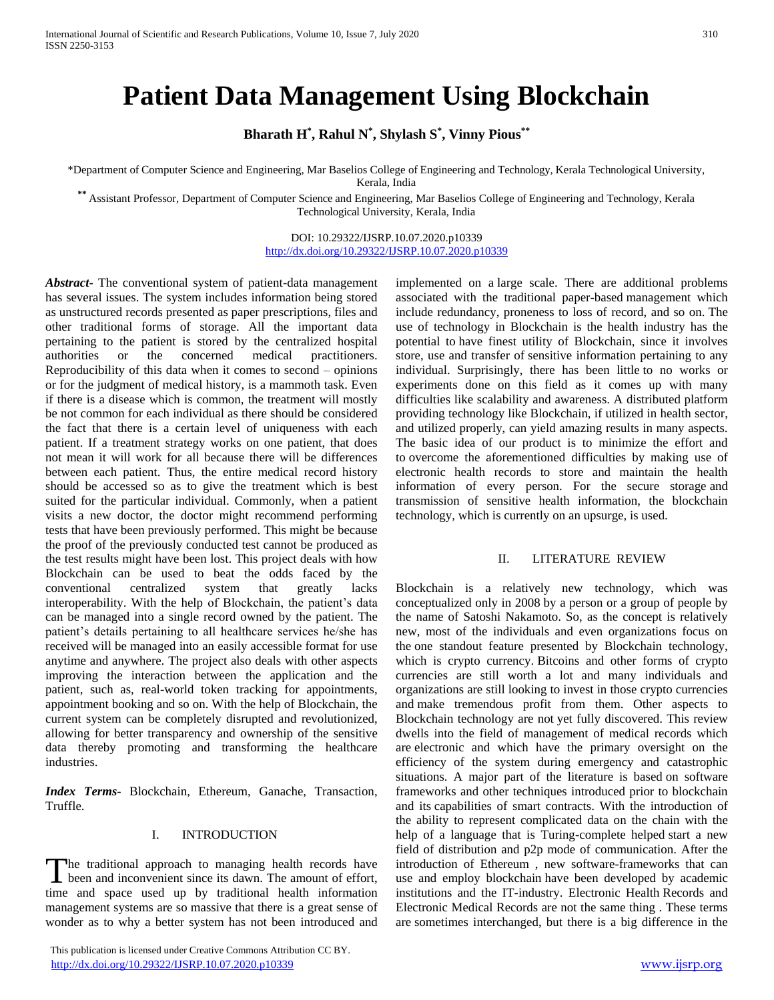# **Patient Data Management Using Blockchain**

**Bharath H\* , Rahul N\* , Shylash S\* , Vinny Pious\*\***

\*Department of Computer Science and Engineering, Mar Baselios College of Engineering and Technology, Kerala Technological University, Kerala, India

**\*\*** Assistant Professor, Department of Computer Science and Engineering, Mar Baselios College of Engineering and Technology, Kerala Technological University, Kerala, India

> DOI: 10.29322/IJSRP.10.07.2020.p10339 <http://dx.doi.org/10.29322/IJSRP.10.07.2020.p10339>

*Abstract***-** The conventional system of patient-data management has several issues. The system includes information being stored as unstructured records presented as paper prescriptions, files and other traditional forms of storage. All the important data pertaining to the patient is stored by the centralized hospital authorities or the concerned medical practitioners. Reproducibility of this data when it comes to second – opinions or for the judgment of medical history, is a mammoth task. Even if there is a disease which is common, the treatment will mostly be not common for each individual as there should be considered the fact that there is a certain level of uniqueness with each patient. If a treatment strategy works on one patient, that does not mean it will work for all because there will be differences between each patient. Thus, the entire medical record history should be accessed so as to give the treatment which is best suited for the particular individual. Commonly, when a patient visits a new doctor, the doctor might recommend performing tests that have been previously performed. This might be because the proof of the previously conducted test cannot be produced as the test results might have been lost. This project deals with how Blockchain can be used to beat the odds faced by the conventional centralized system that greatly lacks interoperability. With the help of Blockchain, the patient's data can be managed into a single record owned by the patient. The patient's details pertaining to all healthcare services he/she has received will be managed into an easily accessible format for use anytime and anywhere. The project also deals with other aspects improving the interaction between the application and the patient, such as, real-world token tracking for appointments, appointment booking and so on. With the help of Blockchain, the current system can be completely disrupted and revolutionized, allowing for better transparency and ownership of the sensitive data thereby promoting and transforming the healthcare industries.

*Index Terms*- Blockchain, Ethereum, Ganache, Transaction, Truffle.

# I. INTRODUCTION

The traditional approach to managing health records have The traditional approach to managing health records have been and inconvenient since its dawn. The amount of effort, time and space used up by traditional health information management systems are so massive that there is a great sense of wonder as to why a better system has not been introduced and

 This publication is licensed under Creative Commons Attribution CC BY. <http://dx.doi.org/10.29322/IJSRP.10.07.2020.p10339> [www.ijsrp.org](http://ijsrp.org/)

implemented on a large scale. There are additional problems associated with the traditional paper-based management which include redundancy, proneness to loss of record, and so on. The use of technology in Blockchain is the health industry has the potential to have finest utility of Blockchain, since it involves store, use and transfer of sensitive information pertaining to any individual. Surprisingly, there has been little to no works or experiments done on this field as it comes up with many difficulties like scalability and awareness. A distributed platform providing technology like Blockchain, if utilized in health sector, and utilized properly, can yield amazing results in many aspects. The basic idea of our product is to minimize the effort and to overcome the aforementioned difficulties by making use of electronic health records to store and maintain the health information of every person. For the secure storage and transmission of sensitive health information, the blockchain technology, which is currently on an upsurge, is used.

#### II. LITERATURE REVIEW

Blockchain is a relatively new technology, which was conceptualized only in 2008 by a person or a group of people by the name of Satoshi Nakamoto. So, as the concept is relatively new, most of the individuals and even organizations focus on the one standout feature presented by Blockchain technology, which is crypto currency. Bitcoins and other forms of crypto currencies are still worth a lot and many individuals and organizations are still looking to invest in those crypto currencies and make tremendous profit from them. Other aspects to Blockchain technology are not yet fully discovered. This review dwells into the field of management of medical records which are electronic and which have the primary oversight on the efficiency of the system during emergency and catastrophic situations. A major part of the literature is based on software frameworks and other techniques introduced prior to blockchain and its capabilities of smart contracts. With the introduction of the ability to represent complicated data on the chain with the help of a language that is Turing-complete helped start a new field of distribution and p2p mode of communication. After the introduction of Ethereum , new software-frameworks that can use and employ blockchain have been developed by academic institutions and the IT-industry. Electronic Health Records and Electronic Medical Records are not the same thing . These terms are sometimes interchanged, but there is a big difference in the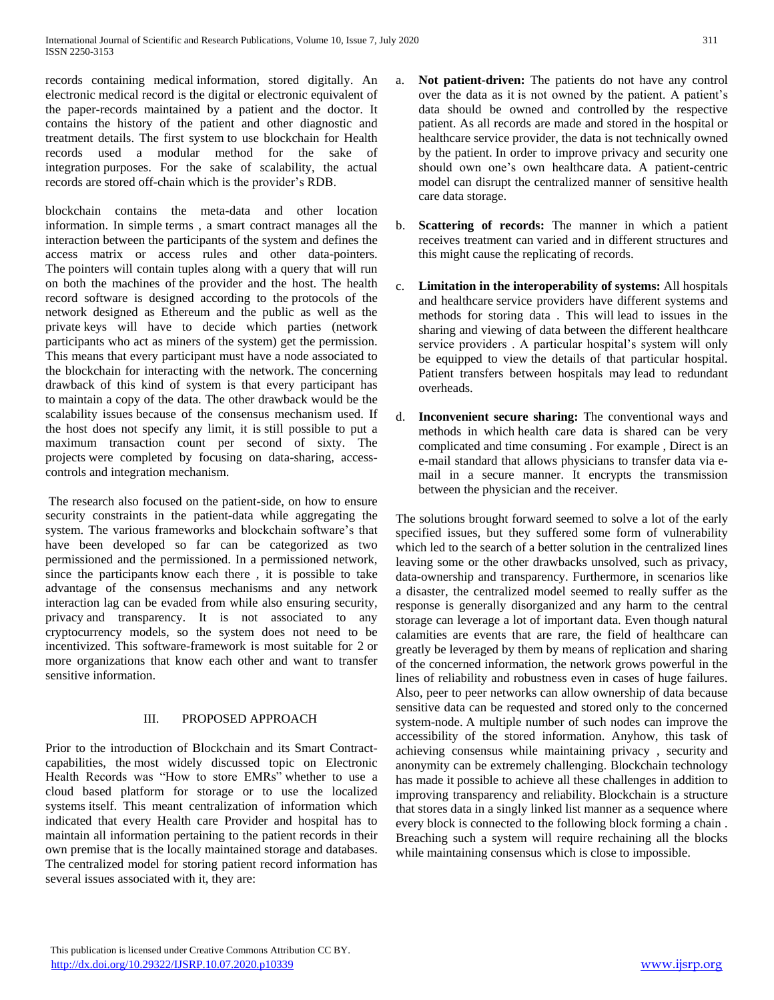records containing medical information, stored digitally. An electronic medical record is the digital or electronic equivalent of the paper-records maintained by a patient and the doctor. It contains the history of the patient and other diagnostic and treatment details. The first system to use blockchain for Health records used a modular method for the sake of integration purposes. For the sake of scalability, the actual records are stored off-chain which is the provider's RDB.

blockchain contains the meta-data and other location information. In simple terms , a smart contract manages all the interaction between the participants of the system and defines the access matrix or access rules and other data-pointers. The pointers will contain tuples along with a query that will run on both the machines of the provider and the host. The health record software is designed according to the protocols of the network designed as Ethereum and the public as well as the private keys will have to decide which parties (network participants who act as miners of the system) get the permission. This means that every participant must have a node associated to the blockchain for interacting with the network. The concerning drawback of this kind of system is that every participant has to maintain a copy of the data. The other drawback would be the scalability issues because of the consensus mechanism used. If the host does not specify any limit, it is still possible to put a maximum transaction count per second of sixty. The projects were completed by focusing on data-sharing, accesscontrols and integration mechanism.

The research also focused on the patient-side, on how to ensure security constraints in the patient-data while aggregating the system. The various frameworks and blockchain software's that have been developed so far can be categorized as two permissioned and the permissioned. In a permissioned network, since the participants know each there , it is possible to take advantage of the consensus mechanisms and any network interaction lag can be evaded from while also ensuring security, privacy and transparency. It is not associated to any cryptocurrency models, so the system does not need to be incentivized. This software-framework is most suitable for 2 or more organizations that know each other and want to transfer sensitive information.

# III. PROPOSED APPROACH

Prior to the introduction of Blockchain and its Smart Contractcapabilities, the most widely discussed topic on Electronic Health Records was "How to store EMRs" whether to use a cloud based platform for storage or to use the localized systems itself. This meant centralization of information which indicated that every Health care Provider and hospital has to maintain all information pertaining to the patient records in their own premise that is the locally maintained storage and databases. The centralized model for storing patient record information has several issues associated with it, they are:

- a. **Not patient-driven:** The patients do not have any control over the data as it is not owned by the patient. A patient's data should be owned and controlled by the respective patient. As all records are made and stored in the hospital or healthcare service provider, the data is not technically owned by the patient. In order to improve privacy and security one should own one's own healthcare data. A patient-centric model can disrupt the centralized manner of sensitive health care data storage.
- b. **Scattering of records:** The manner in which a patient receives treatment can varied and in different structures and this might cause the replicating of records.
- c. **Limitation in the interoperability of systems:** All hospitals and healthcare service providers have different systems and methods for storing data . This will lead to issues in the sharing and viewing of data between the different healthcare service providers . A particular hospital's system will only be equipped to view the details of that particular hospital. Patient transfers between hospitals may lead to redundant overheads.
- d. **Inconvenient secure sharing:** The conventional ways and methods in which health care data is shared can be very complicated and time consuming . For example , Direct is an e-mail standard that allows physicians to transfer data via email in a secure manner. It encrypts the transmission between the physician and the receiver.

The solutions brought forward seemed to solve a lot of the early specified issues, but they suffered some form of vulnerability which led to the search of a better solution in the centralized lines leaving some or the other drawbacks unsolved, such as privacy, data-ownership and transparency. Furthermore, in scenarios like a disaster, the centralized model seemed to really suffer as the response is generally disorganized and any harm to the central storage can leverage a lot of important data. Even though natural calamities are events that are rare, the field of healthcare can greatly be leveraged by them by means of replication and sharing of the concerned information, the network grows powerful in the lines of reliability and robustness even in cases of huge failures. Also, peer to peer networks can allow ownership of data because sensitive data can be requested and stored only to the concerned system-node. A multiple number of such nodes can improve the accessibility of the stored information. Anyhow, this task of achieving consensus while maintaining privacy , security and anonymity can be extremely challenging. Blockchain technology has made it possible to achieve all these challenges in addition to improving transparency and reliability. Blockchain is a structure that stores data in a singly linked list manner as a sequence where every block is connected to the following block forming a chain . Breaching such a system will require rechaining all the blocks while maintaining consensus which is close to impossible.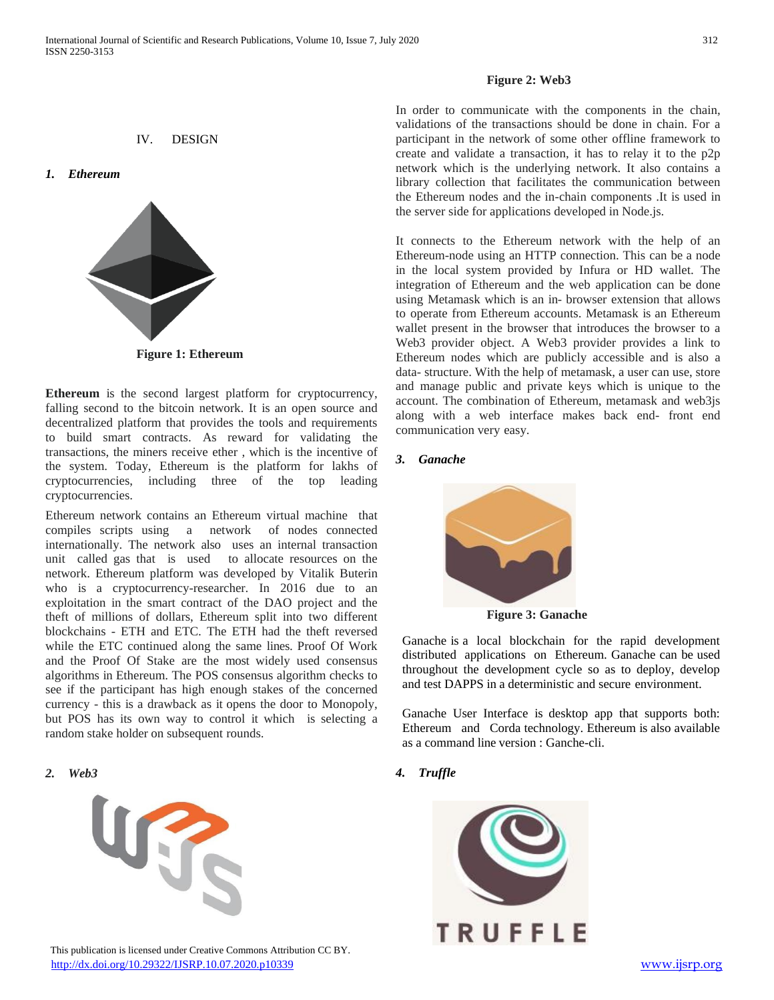#### IV. DESIGN





**Figure 1: Ethereum**

**Ethereum** is the second largest platform for cryptocurrency, falling second to the bitcoin network. It is an open source and decentralized platform that provides the tools and requirements to build smart contracts. As reward for validating the transactions, the miners receive ether , which is the incentive of the system. Today, Ethereum is the platform for lakhs of cryptocurrencies, including three of the top leading cryptocurrencies.

Ethereum network contains an Ethereum virtual machine that compiles scripts using a network of nodes connected internationally. The network also uses an internal transaction unit called gas that is used to allocate resources on the network. Ethereum platform was developed by Vitalik Buterin who is a cryptocurrency-researcher. In 2016 due to an exploitation in the smart contract of the DAO project and the theft of millions of dollars, Ethereum split into two different blockchains - ETH and ETC. The ETH had the theft reversed while the ETC continued along the same lines. Proof Of Work and the Proof Of Stake are the most widely used consensus algorithms in Ethereum. The POS consensus algorithm checks to see if the participant has high enough stakes of the concerned currency - this is a drawback as it opens the door to Monopoly, but POS has its own way to control it which is selecting a random stake holder on subsequent rounds.

# *2. Web3*



## **Figure 2: Web3**

In order to communicate with the components in the chain, validations of the transactions should be done in chain. For a participant in the network of some other offline framework to create and validate a transaction, it has to relay it to the p2p network which is the underlying network. It also contains a library collection that facilitates the communication between the Ethereum nodes and the in-chain components .It is used in the server side for applications developed in Node.js.

It connects to the Ethereum network with the help of an Ethereum-node using an HTTP connection. This can be a node in the local system provided by Infura or HD wallet. The integration of Ethereum and the web application can be done using Metamask which is an in- browser extension that allows to operate from Ethereum accounts. Metamask is an Ethereum wallet present in the browser that introduces the browser to a Web3 provider object. A Web3 provider provides a link to Ethereum nodes which are publicly accessible and is also a data- structure. With the help of metamask, a user can use, store and manage public and private keys which is unique to the account. The combination of Ethereum, metamask and web3js along with a web interface makes back end- front end communication very easy.

#### *3. Ganache*



**Figure 3: Ganache**

Ganache is a local blockchain for the rapid development distributed applications on Ethereum. Ganache can be used throughout the development cycle so as to deploy, develop and test DAPPS in a deterministic and secure environment.

Ganache User Interface is desktop app that supports both: Ethereum and Corda technology. Ethereum is also available as a command line version : Ganche-cli.

# *4. Truffle*

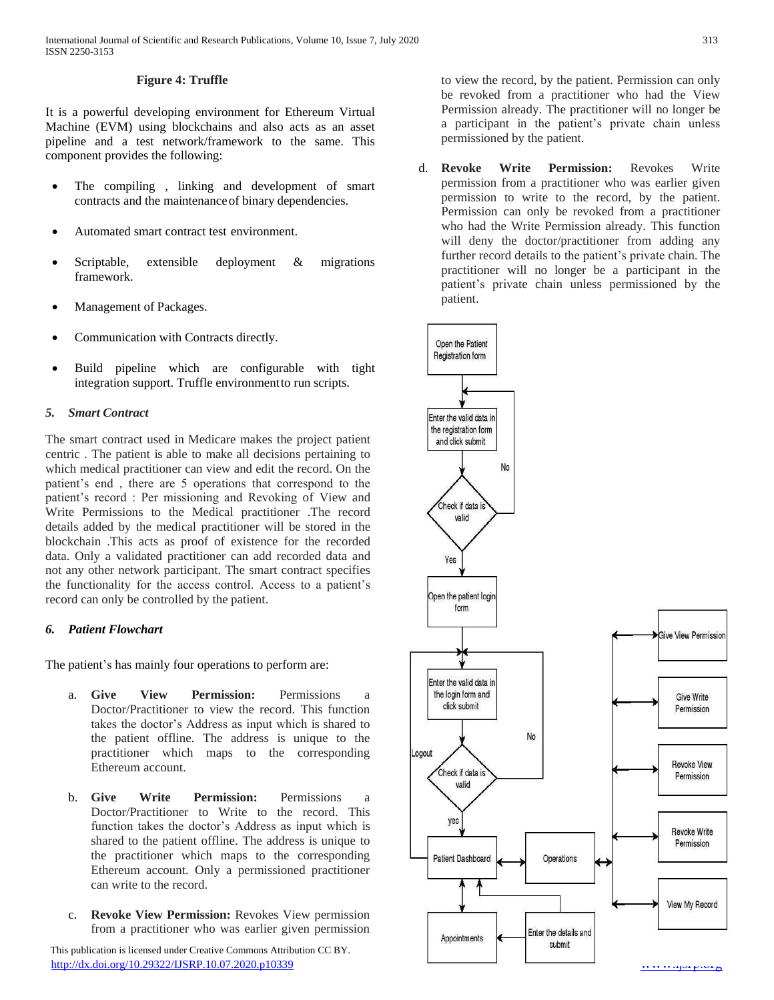# **Figure 4: Truffle**

It is a powerful developing environment for Ethereum Virtual Machine (EVM) using blockchains and also acts as an asset pipeline and a test network/framework to the same. This component provides the following:

- The compiling , linking and development of smart contracts and the maintenance of binary dependencies.
- Automated smart contract test environment.
- Scriptable, extensible deployment & migrations framework.
- Management of Packages.
- Communication with Contracts directly.
- Build pipeline which are configurable with tight integration support. Truffle environmentto run scripts.

# *5. Smart Contract*

The smart contract used in Medicare makes the project patient centric . The patient is able to make all decisions pertaining to which medical practitioner can view and edit the record. On the patient's end , there are 5 operations that correspond to the patient's record : Per missioning and Revoking of View and Write Permissions to the Medical practitioner .The record details added by the medical practitioner will be stored in the blockchain .This acts as proof of existence for the recorded data. Only a validated practitioner can add recorded data and not any other network participant. The smart contract specifies the functionality for the access control. Access to a patient's record can only be controlled by the patient.

# *6. Patient Flowchart*

The patient's has mainly four operations to perform are:

- a. **Give View Permission:** Permissions a Doctor/Practitioner to view the record. This function takes the doctor's Address as input which is shared to the patient offline. The address is unique to the practitioner which maps to the corresponding Ethereum account.
- b. **Give Write Permission:** Permissions a Doctor/Practitioner to Write to the record. This function takes the doctor's Address as input which is shared to the patient offline. The address is unique to the practitioner which maps to the corresponding Ethereum account. Only a permissioned practitioner can write to the record.
- c. **Revoke View Permission:** Revokes View permission from a practitioner who was earlier given permission

This publication is licensed under Creative Commons Attribution CC BY.

to view the record, by the patient. Permission can only be revoked from a practitioner who had the View Permission already. The practitioner will no longer be a participant in the patient's private chain unless permissioned by the patient.

d. **Revoke Write Permission:** Revokes Write permission from a practitioner who was earlier given permission to write to the record, by the patient. Permission can only be revoked from a practitioner who had the Write Permission already. This function will deny the doctor/practitioner from adding any further record details to the patient's private chain. The practitioner will no longer be a participant in the patient's private chain unless permissioned by the patient.

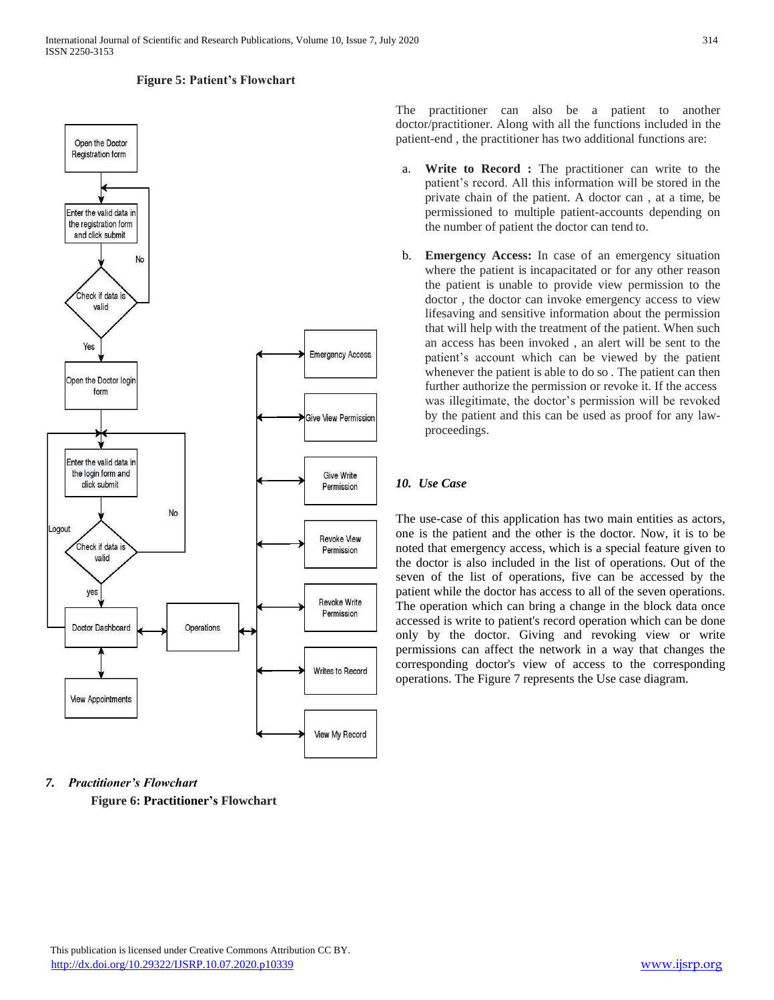# Open the Doctor Registration form Enter the valid data in the registration form and click submit No heck if data is valid Yes **Emergency Access** Open the Doctor logir form Give View Permission Enter the valid data in the login form and Give Write click submit Permission No Logout Revoke View Check if data is Permission valid ves **Revoke Write** Permission Doctor Dashboard Operations Writes to Record **View Appointments** View My Record

# **Figure 5: Patient's Flowchart**

*7. Practitioner's Flowchart* 

**Figure 6: Practitioner's Flowchart**

The practitioner can also be a patient to another doctor/practitioner. Along with all the functions included in the patient-end , the practitioner has two additional functions are:

- a. **Write to Record :** The practitioner can write to the patient's record. All this information will be stored in the private chain of the patient. A doctor can , at a time, be permissioned to multiple patient-accounts depending on the number of patient the doctor can tend to.
- b. **Emergency Access:** In case of an emergency situation where the patient is incapacitated or for any other reason the patient is unable to provide view permission to the doctor , the doctor can invoke emergency access to view lifesaving and sensitive information about the permission that will help with the treatment of the patient. When such an access has been invoked , an alert will be sent to the patient's account which can be viewed by the patient whenever the patient is able to do so . The patient can then further authorize the permission or revoke it. If the access was illegitimate, the doctor's permission will be revoked by the patient and this can be used as proof for any lawproceedings.

# *10. Use Case*

The use-case of this application has two main entities as actors, one is the patient and the other is the doctor. Now, it is to be noted that emergency access, which is a special feature given to the doctor is also included in the list of operations. Out of the seven of the list of operations, five can be accessed by the patient while the doctor has access to all of the seven operations. The operation which can bring a change in the block data once accessed is write to patient's record operation which can be done only by the doctor. Giving and revoking view or write permissions can affect the network in a way that changes the corresponding doctor's view of access to the corresponding operations. The Figure 7 represents the Use case diagram.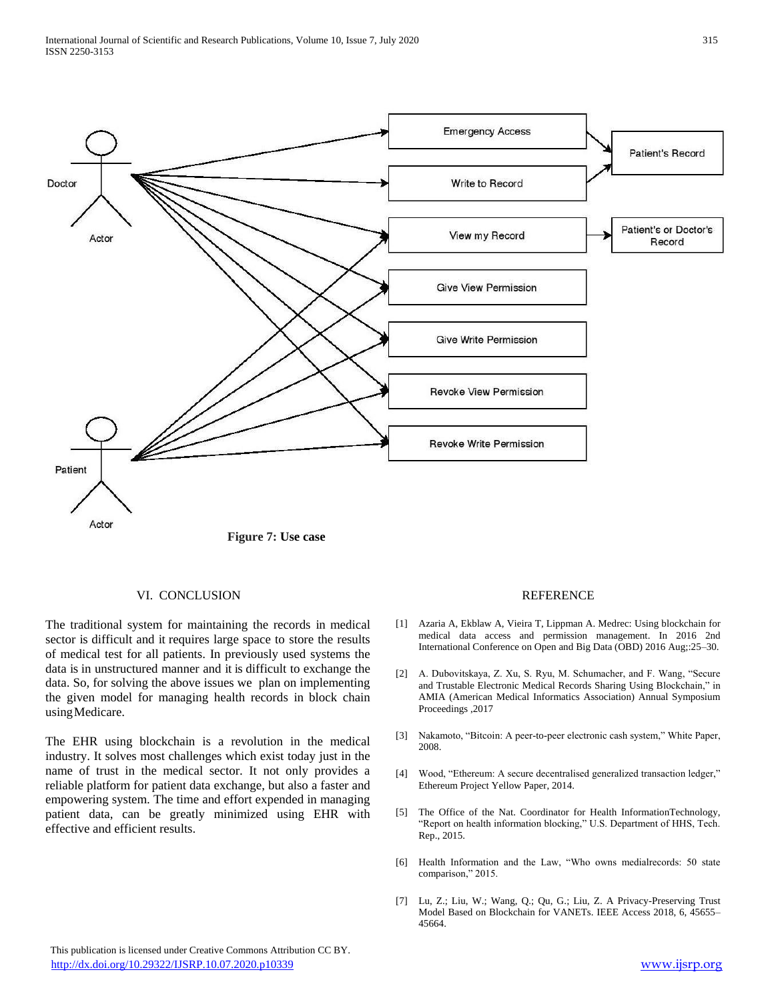

**Figure 7: Use case**

#### VI. CONCLUSION

The traditional system for maintaining the records in medical sector is difficult and it requires large space to store the results of medical test for all patients. In previously used systems the data is in unstructured manner and it is difficult to exchange the data. So, for solving the above issues we plan on implementing the given model for managing health records in block chain usingMedicare.

The EHR using blockchain is a revolution in the medical industry. It solves most challenges which exist today just in the name of trust in the medical sector. It not only provides a reliable platform for patient data exchange, but also a faster and empowering system. The time and effort expended in managing patient data, can be greatly minimized using EHR with effective and efficient results.

#### REFERENCE

- [1] Azaria A, Ekblaw A, Vieira T, Lippman A. Medrec: Using blockchain for medical data access and permission management. In 2016 2nd International Conference on Open and Big Data (OBD) 2016 Aug;:25–30.
- [2] A. Dubovitskaya, Z. Xu, S. Ryu, M. Schumacher, and F. Wang, "Secure and Trustable Electronic Medical Records Sharing Using Blockchain," in AMIA (American Medical Informatics Association) Annual Symposium Proceedings ,2017
- [3] Nakamoto, "Bitcoin: A peer-to-peer electronic cash system," White Paper, 2008.
- [4] Wood, "Ethereum: A secure decentralised generalized transaction ledger," Ethereum Project Yellow Paper, 2014.
- [5] The Office of the Nat. Coordinator for Health InformationTechnology, "Report on health information blocking," U.S. Department of HHS, Tech. Rep., 2015.
- [6] Health Information and the Law, "Who owns medialrecords: 50 state comparison," 2015.
- [7] Lu, Z.; Liu, W.; Wang, Q.; Qu, G.; Liu, Z. A Privacy-Preserving Trust Model Based on Blockchain for VANETs. IEEE Access 2018, 6, 45655– 45664.